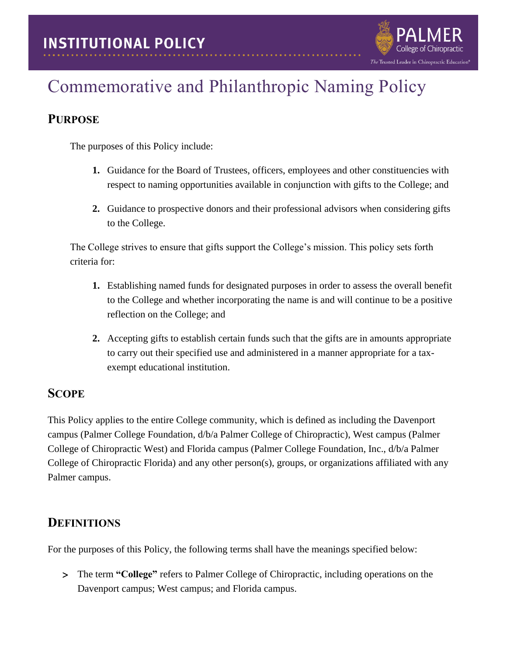

## **PURPOSE**

The purposes of this Policy include:

**1.** Guidance for the Board of Trustees, officers, employees and other constituencies with respect to naming opportunities available in conjunction with gifts to the College; and

The Trusted Leader in Chiropractic Education®

**2.** Guidance to prospective donors and their professional advisors when considering gifts to the College.

The College strives to ensure that gifts support the College's mission. This policy sets forth criteria for:

- **1.** Establishing named funds for designated purposes in order to assess the overall benefit to the College and whether incorporating the name is and will continue to be a positive reflection on the College; and
- **2.** Accepting gifts to establish certain funds such that the gifts are in amounts appropriate to carry out their specified use and administered in a manner appropriate for a taxexempt educational institution.

#### **SCOPE**

This Policy applies to the entire College community, which is defined as including the Davenport campus (Palmer College Foundation, d/b/a Palmer College of Chiropractic), West campus (Palmer College of Chiropractic West) and Florida campus (Palmer College Foundation, Inc., d/b/a Palmer College of Chiropractic Florida) and any other person(s), groups, or organizations affiliated with any Palmer campus.

## **DEFINITIONS**

For the purposes of this Policy, the following terms shall have the meanings specified below:

 The term **"College"** refers to Palmer College of Chiropractic, including operations on the Davenport campus; West campus; and Florida campus.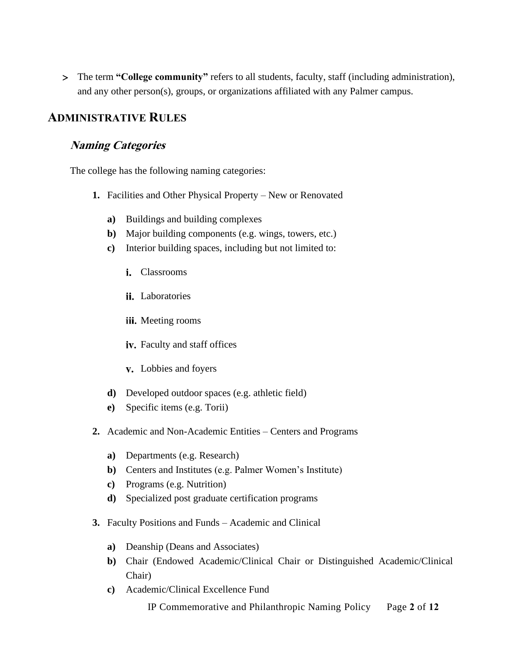The term **"College community"** refers to all students, faculty, staff (including administration), and any other person(s), groups, or organizations affiliated with any Palmer campus.

#### **ADMINISTRATIVE RULES**

#### **Naming Categories**

The college has the following naming categories:

- **1.** Facilities and Other Physical Property New or Renovated
	- **a)** Buildings and building complexes
	- **b)** Major building components (e.g. wings, towers, etc.)
	- **c)** Interior building spaces, including but not limited to:
		- i. Classrooms
		- ii. Laboratories
		- iii. Meeting rooms
		- iv. Faculty and staff offices
		- Lobbies and foyers
	- **d)** Developed outdoor spaces (e.g. athletic field)
	- **e)** Specific items (e.g. Torii)
- **2.** Academic and Non-Academic Entities Centers and Programs
	- **a)** Departments (e.g. Research)
	- **b)** Centers and Institutes (e.g. Palmer Women's Institute)
	- **c)** Programs (e.g. Nutrition)
	- **d)** Specialized post graduate certification programs
- **3.** Faculty Positions and Funds Academic and Clinical
	- **a)** Deanship (Deans and Associates)
	- **b)** Chair (Endowed Academic/Clinical Chair or Distinguished Academic/Clinical Chair)
	- **c)** Academic/Clinical Excellence Fund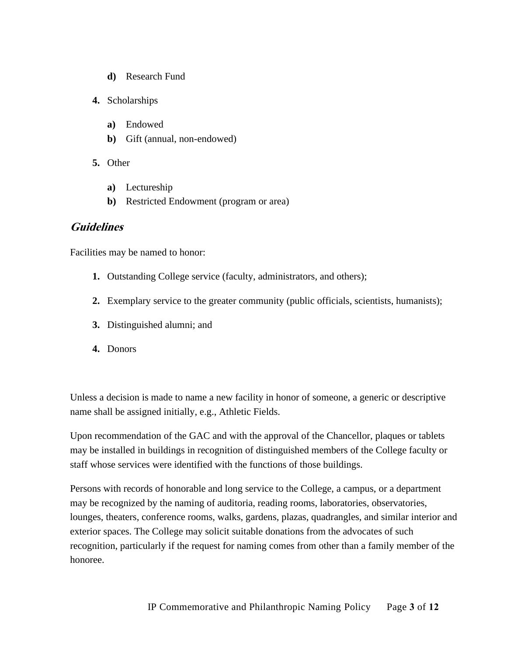- **d)** Research Fund
- **4.** Scholarships
	- **a)** Endowed
	- **b)** Gift (annual, non-endowed)
- **5.** Other
	- **a)** Lectureship
	- **b)** Restricted Endowment (program or area)

#### **Guidelines**

Facilities may be named to honor:

- **1.** Outstanding College service (faculty, administrators, and others);
- **2.** Exemplary service to the greater community (public officials, scientists, humanists);
- **3.** Distinguished alumni; and
- **4.** Donors

Unless a decision is made to name a new facility in honor of someone, a generic or descriptive name shall be assigned initially, e.g., Athletic Fields.

Upon recommendation of the GAC and with the approval of the Chancellor, plaques or tablets may be installed in buildings in recognition of distinguished members of the College faculty or staff whose services were identified with the functions of those buildings.

Persons with records of honorable and long service to the College, a campus, or a department may be recognized by the naming of auditoria, reading rooms, laboratories, observatories, lounges, theaters, conference rooms, walks, gardens, plazas, quadrangles, and similar interior and exterior spaces. The College may solicit suitable donations from the advocates of such recognition, particularly if the request for naming comes from other than a family member of the honoree.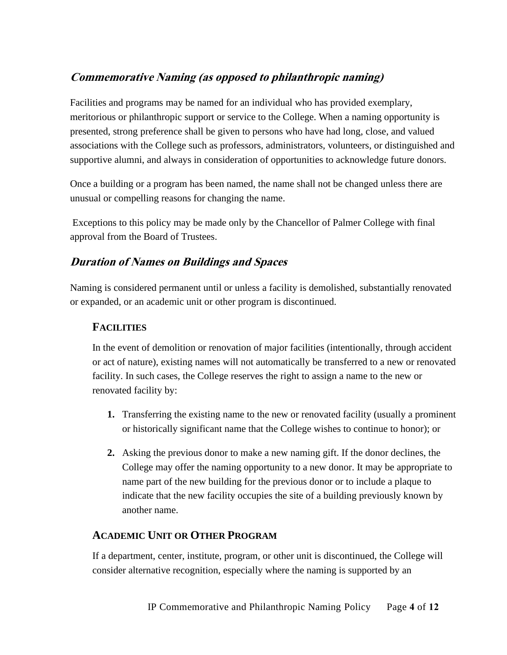## **Commemorative Naming (as opposed to philanthropic naming)**

Facilities and programs may be named for an individual who has provided exemplary, meritorious or philanthropic support or service to the College. When a naming opportunity is presented, strong preference shall be given to persons who have had long, close, and valued associations with the College such as professors, administrators, volunteers, or distinguished and supportive alumni, and always in consideration of opportunities to acknowledge future donors.

Once a building or a program has been named, the name shall not be changed unless there are unusual or compelling reasons for changing the name.

Exceptions to this policy may be made only by the Chancellor of Palmer College with final approval from the Board of Trustees.

## **Duration of Names on Buildings and Spaces**

Naming is considered permanent until or unless a facility is demolished, substantially renovated or expanded, or an academic unit or other program is discontinued.

#### **FACILITIES**

In the event of demolition or renovation of major facilities (intentionally, through accident or act of nature), existing names will not automatically be transferred to a new or renovated facility. In such cases, the College reserves the right to assign a name to the new or renovated facility by:

- **1.** Transferring the existing name to the new or renovated facility (usually a prominent or historically significant name that the College wishes to continue to honor); or
- **2.** Asking the previous donor to make a new naming gift. If the donor declines, the College may offer the naming opportunity to a new donor. It may be appropriate to name part of the new building for the previous donor or to include a plaque to indicate that the new facility occupies the site of a building previously known by another name.

#### **ACADEMIC UNIT OR OTHER PROGRAM**

If a department, center, institute, program, or other unit is discontinued, the College will consider alternative recognition, especially where the naming is supported by an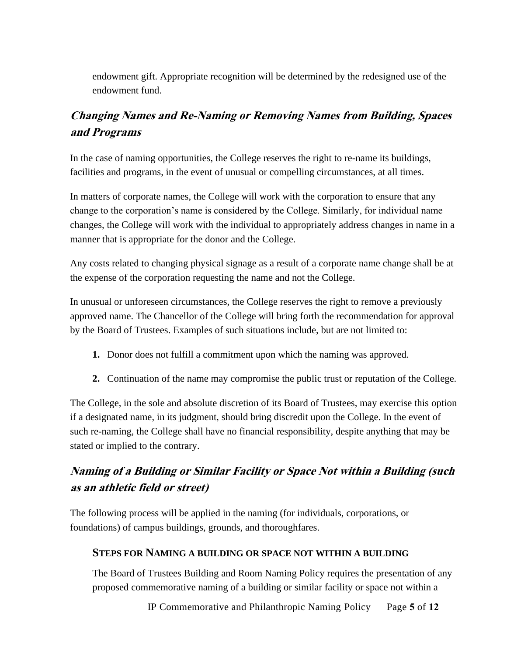endowment gift. Appropriate recognition will be determined by the redesigned use of the endowment fund.

# **Changing Names and Re-Naming or Removing Names from Building, Spaces and Programs**

In the case of naming opportunities, the College reserves the right to re-name its buildings, facilities and programs, in the event of unusual or compelling circumstances, at all times.

In matters of corporate names, the College will work with the corporation to ensure that any change to the corporation's name is considered by the College. Similarly, for individual name changes, the College will work with the individual to appropriately address changes in name in a manner that is appropriate for the donor and the College.

Any costs related to changing physical signage as a result of a corporate name change shall be at the expense of the corporation requesting the name and not the College.

In unusual or unforeseen circumstances, the College reserves the right to remove a previously approved name. The Chancellor of the College will bring forth the recommendation for approval by the Board of Trustees. Examples of such situations include, but are not limited to:

- **1.** Donor does not fulfill a commitment upon which the naming was approved.
- **2.** Continuation of the name may compromise the public trust or reputation of the College.

The College, in the sole and absolute discretion of its Board of Trustees, may exercise this option if a designated name, in its judgment, should bring discredit upon the College. In the event of such re-naming, the College shall have no financial responsibility, despite anything that may be stated or implied to the contrary.

# **Naming of a Building or Similar Facility or Space Not within a Building (such as an athletic field or street)**

The following process will be applied in the naming (for individuals, corporations, or foundations) of campus buildings, grounds, and thoroughfares.

#### **STEPS FOR NAMING A BUILDING OR SPACE NOT WITHIN A BUILDING**

The Board of Trustees Building and Room Naming Policy requires the presentation of any proposed commemorative naming of a building or similar facility or space not within a

IP Commemorative and Philanthropic Naming Policy Page **5** of **12**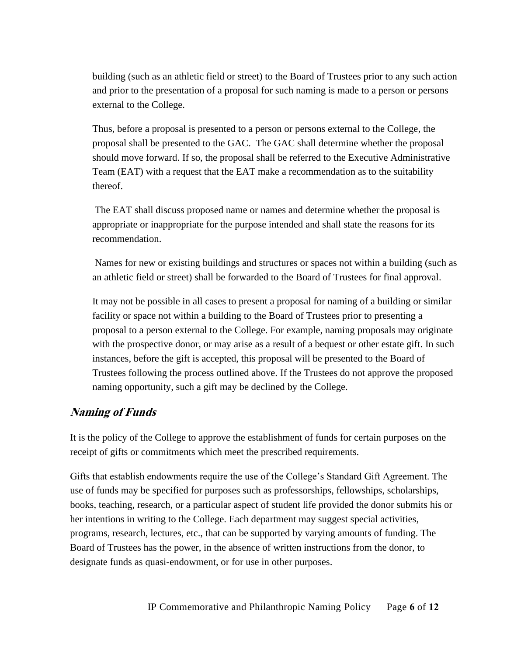building (such as an athletic field or street) to the Board of Trustees prior to any such action and prior to the presentation of a proposal for such naming is made to a person or persons external to the College.

Thus, before a proposal is presented to a person or persons external to the College, the proposal shall be presented to the GAC. The GAC shall determine whether the proposal should move forward. If so, the proposal shall be referred to the Executive Administrative Team (EAT) with a request that the EAT make a recommendation as to the suitability thereof.

The EAT shall discuss proposed name or names and determine whether the proposal is appropriate or inappropriate for the purpose intended and shall state the reasons for its recommendation.

Names for new or existing buildings and structures or spaces not within a building (such as an athletic field or street) shall be forwarded to the Board of Trustees for final approval.

It may not be possible in all cases to present a proposal for naming of a building or similar facility or space not within a building to the Board of Trustees prior to presenting a proposal to a person external to the College. For example, naming proposals may originate with the prospective donor, or may arise as a result of a bequest or other estate gift. In such instances, before the gift is accepted, this proposal will be presented to the Board of Trustees following the process outlined above. If the Trustees do not approve the proposed naming opportunity, such a gift may be declined by the College.

#### **Naming of Funds**

It is the policy of the College to approve the establishment of funds for certain purposes on the receipt of gifts or commitments which meet the prescribed requirements.

Gifts that establish endowments require the use of the College's Standard Gift Agreement. The use of funds may be specified for purposes such as professorships, fellowships, scholarships, books, teaching, research, or a particular aspect of student life provided the donor submits his or her intentions in writing to the College. Each department may suggest special activities, programs, research, lectures, etc., that can be supported by varying amounts of funding. The Board of Trustees has the power, in the absence of written instructions from the donor, to designate funds as quasi-endowment, or for use in other purposes.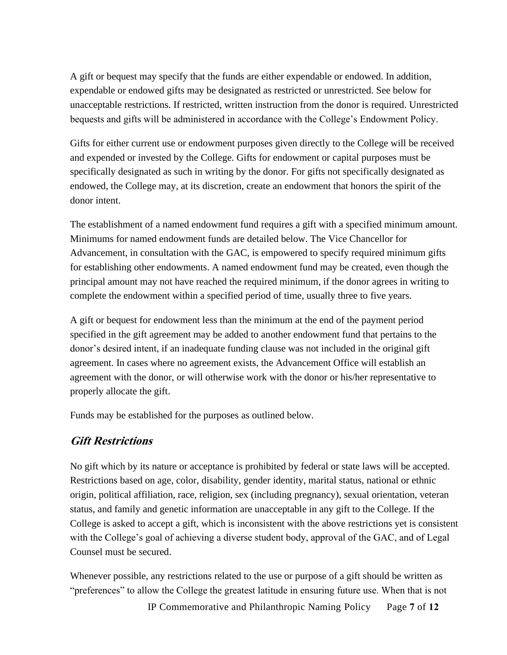A gift or bequest may specify that the funds are either expendable or endowed. In addition, expendable or endowed gifts may be designated as restricted or unrestricted. See below for unacceptable restrictions. If restricted, written instruction from the donor is required. Unrestricted bequests and gifts will be administered in accordance with the College's Endowment Policy.

Gifts for either current use or endowment purposes given directly to the College will be received and expended or invested by the College. Gifts for endowment or capital purposes must be specifically designated as such in writing by the donor. For gifts not specifically designated as endowed, the College may, at its discretion, create an endowment that honors the spirit of the donor intent.

The establishment of a named endowment fund requires a gift with a specified minimum amount. Minimums for named endowment funds are detailed below. The Vice Chancellor for Advancement, in consultation with the GAC, is empowered to specify required minimum gifts for establishing other endowments. A named endowment fund may be created, even though the principal amount may not have reached the required minimum, if the donor agrees in writing to complete the endowment within a specified period of time, usually three to five years.

A gift or bequest for endowment less than the minimum at the end of the payment period specified in the gift agreement may be added to another endowment fund that pertains to the donor's desired intent, if an inadequate funding clause was not included in the original gift agreement. In cases where no agreement exists, the Advancement Office will establish an agreement with the donor, or will otherwise work with the donor or his/her representative to properly allocate the gift.

Funds may be established for the purposes as outlined below.

#### **Gift Restrictions**

No gift which by its nature or acceptance is prohibited by federal or state laws will be accepted. Restrictions based on age, color, disability, gender identity, marital status, national or ethnic origin, political affiliation, race, religion, sex (including pregnancy), sexual orientation, veteran status, and family and genetic information are unacceptable in any gift to the College. If the College is asked to accept a gift, which is inconsistent with the above restrictions yet is consistent with the College's goal of achieving a diverse student body, approval of the GAC, and of Legal Counsel must be secured.

Whenever possible, any restrictions related to the use or purpose of a gift should be written as "preferences" to allow the College the greatest latitude in ensuring future use. When that is not

IP Commemorative and Philanthropic Naming Policy Page **7** of **12**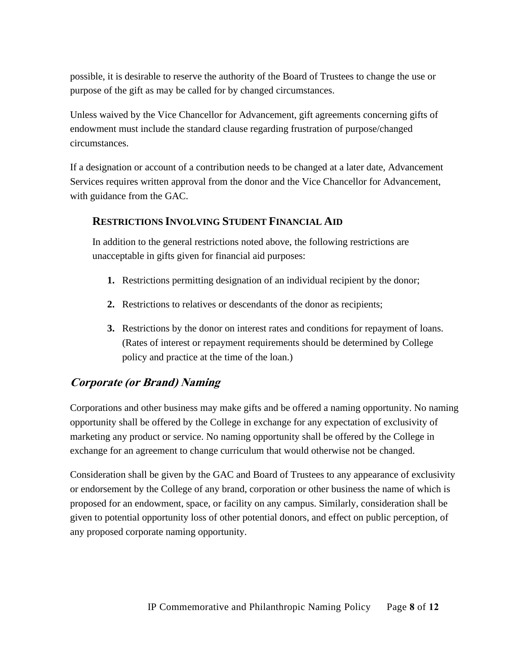possible, it is desirable to reserve the authority of the Board of Trustees to change the use or purpose of the gift as may be called for by changed circumstances.

Unless waived by the Vice Chancellor for Advancement, gift agreements concerning gifts of endowment must include the standard clause regarding frustration of purpose/changed circumstances.

If a designation or account of a contribution needs to be changed at a later date, Advancement Services requires written approval from the donor and the Vice Chancellor for Advancement, with guidance from the GAC.

#### **RESTRICTIONS INVOLVING STUDENT FINANCIAL AID**

In addition to the general restrictions noted above, the following restrictions are unacceptable in gifts given for financial aid purposes:

- **1.** Restrictions permitting designation of an individual recipient by the donor;
- **2.** Restrictions to relatives or descendants of the donor as recipients;
- **3.** Restrictions by the donor on interest rates and conditions for repayment of loans. (Rates of interest or repayment requirements should be determined by College policy and practice at the time of the loan.)

#### **Corporate (or Brand) Naming**

Corporations and other business may make gifts and be offered a naming opportunity. No naming opportunity shall be offered by the College in exchange for any expectation of exclusivity of marketing any product or service. No naming opportunity shall be offered by the College in exchange for an agreement to change curriculum that would otherwise not be changed.

Consideration shall be given by the GAC and Board of Trustees to any appearance of exclusivity or endorsement by the College of any brand, corporation or other business the name of which is proposed for an endowment, space, or facility on any campus. Similarly, consideration shall be given to potential opportunity loss of other potential donors, and effect on public perception, of any proposed corporate naming opportunity.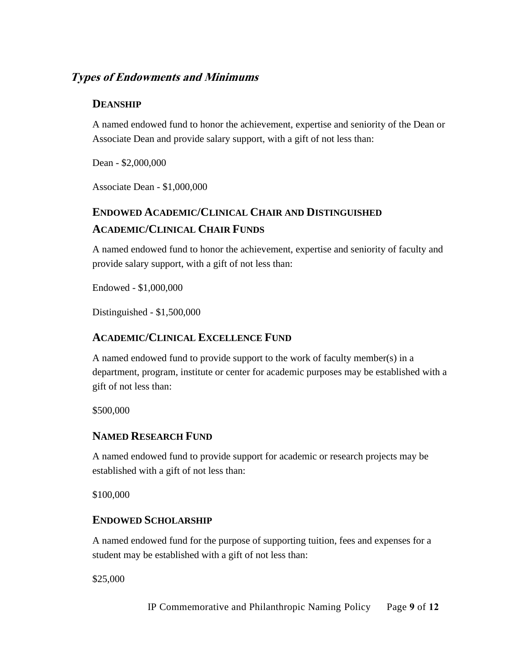#### **Types of Endowments and Minimums**

#### **DEANSHIP**

A named endowed fund to honor the achievement, expertise and seniority of the Dean or Associate Dean and provide salary support, with a gift of not less than:

Dean - \$2,000,000

Associate Dean - \$1,000,000

# **ENDOWED ACADEMIC/CLINICAL CHAIR AND DISTINGUISHED ACADEMIC/CLINICAL CHAIR FUNDS**

A named endowed fund to honor the achievement, expertise and seniority of faculty and provide salary support, with a gift of not less than:

Endowed - \$1,000,000

Distinguished - \$1,500,000

#### **ACADEMIC/CLINICAL EXCELLENCE FUND**

A named endowed fund to provide support to the work of faculty member(s) in a department, program, institute or center for academic purposes may be established with a gift of not less than:

\$500,000

#### **NAMED RESEARCH FUND**

A named endowed fund to provide support for academic or research projects may be established with a gift of not less than:

\$100,000

#### **ENDOWED SCHOLARSHIP**

A named endowed fund for the purpose of supporting tuition, fees and expenses for a student may be established with a gift of not less than:

\$25,000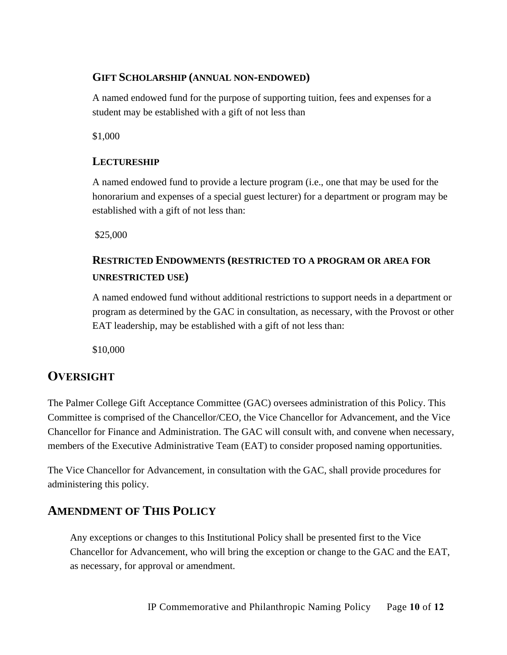#### **GIFT SCHOLARSHIP (ANNUAL NON-ENDOWED)**

A named endowed fund for the purpose of supporting tuition, fees and expenses for a student may be established with a gift of not less than

\$1,000

#### **LECTURESHIP**

A named endowed fund to provide a lecture program (i.e., one that may be used for the honorarium and expenses of a special guest lecturer) for a department or program may be established with a gift of not less than:

\$25,000

# **RESTRICTED ENDOWMENTS (RESTRICTED TO A PROGRAM OR AREA FOR UNRESTRICTED USE)**

A named endowed fund without additional restrictions to support needs in a department or program as determined by the GAC in consultation, as necessary, with the Provost or other EAT leadership, may be established with a gift of not less than:

\$10,000

## **OVERSIGHT**

The Palmer College Gift Acceptance Committee (GAC) oversees administration of this Policy. This Committee is comprised of the Chancellor/CEO, the Vice Chancellor for Advancement, and the Vice Chancellor for Finance and Administration. The GAC will consult with, and convene when necessary, members of the Executive Administrative Team (EAT) to consider proposed naming opportunities.

The Vice Chancellor for Advancement, in consultation with the GAC, shall provide procedures for administering this policy.

## **AMENDMENT OF THIS POLICY**

Any exceptions or changes to this Institutional Policy shall be presented first to the Vice Chancellor for Advancement, who will bring the exception or change to the GAC and the EAT, as necessary, for approval or amendment.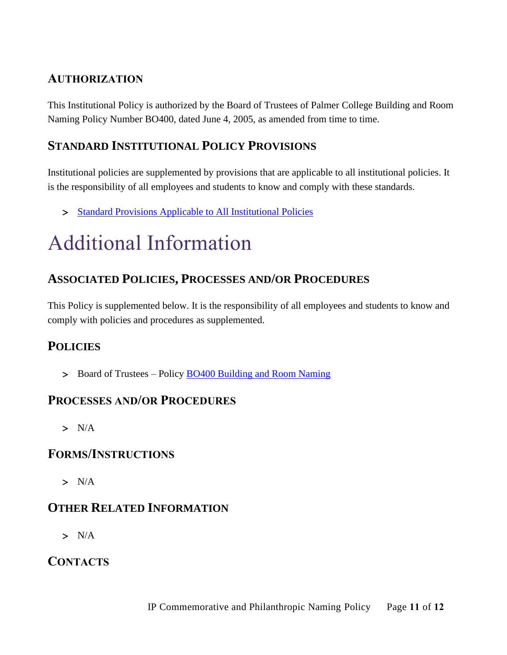# **AUTHORIZATION**

This Institutional Policy is authorized by the Board of Trustees of Palmer College Building and Room Naming Policy Number BO400, dated June 4, 2005, as amended from time to time.

## **STANDARD INSTITUTIONAL POLICY PROVISIONS**

Institutional policies are supplemented by provisions that are applicable to all institutional policies. It is the responsibility of all employees and students to know and comply with these standards.

> [Standard Provisions Applicable to All Institutional Policies](http://www.palmer.edu/uploadedFiles/Pages/Students/Resources_and_Offices/Handbook_and_Policies/_pdf/Standard-Provisions-Applicable-to-All-Institutional-Policies.pdf)

# Additional Information

## **ASSOCIATED POLICIES, PROCESSES AND/OR PROCEDURES**

This Policy is supplemented below. It is the responsibility of all employees and students to know and comply with policies and procedures as supplemented.

## **POLICIES**

Board of Trustees – Policy [BO400 Building and Room Naming](https://livepalmer.sharepoint.com/sites/OfficeofCompliance/Shared%20Documents/Policies/BO400%20Building%20and%20Room%20Naming%20-%20rvsd%2002092019.pdf)

#### **PROCESSES AND/OR PROCEDURES**

 $> N/A$ 

#### **FORMS/INSTRUCTIONS**

 $> N/A$ 

## **OTHER RELATED INFORMATION**

 $> N/A$ 

## **CONTACTS**